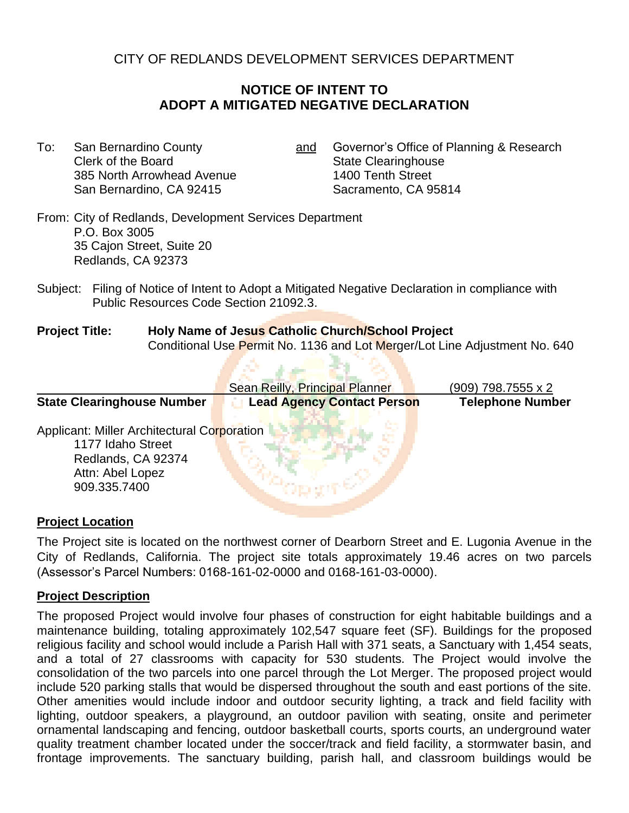CITY OF REDLANDS DEVELOPMENT SERVICES DEPARTMENT

# **NOTICE OF INTENT TO ADOPT A MITIGATED NEGATIVE DECLARATION**

- Clerk of the Board Clearinghouse State Clearinghouse 385 North Arrowhead Avenue 1400 Tenth Street San Bernardino, CA 92415 Sacramento, CA 95814
- To: San Bernardino County **and Governor's Office of Planning & Research**

From: City of Redlands, Development Services Department P.O. Box 3005 35 Cajon Street, Suite 20 Redlands, CA 92373

Subject: Filing of Notice of Intent to Adopt a Mitigated Negative Declaration in compliance with Public Resources Code Section 21092.3.

and a second distance

### **Project Title: Holy Name of Jesus Catholic Church/School Project** Conditional Use Permit No. 1136 and Lot Merger/Lot Line Adjustment No. 640

|                                                                                                                            | Sean Reilly, Principal Planner    | $(909)$ 798.7555 x 2    |
|----------------------------------------------------------------------------------------------------------------------------|-----------------------------------|-------------------------|
| <b>State Clearinghouse Number</b>                                                                                          | <b>Lead Agency Contact Person</b> | <b>Telephone Number</b> |
| Applicant: Miller Architectural Corporation<br>1177 Idaho Street<br>Redlands, CA 92374<br>Attn: Abel Lopez<br>909.335.7400 |                                   |                         |

### **Project Location**

The Project site is located on the northwest corner of Dearborn Street and E. Lugonia Avenue in the City of Redlands, California. The project site totals approximately 19.46 acres on two parcels (Assessor's Parcel Numbers: 0168-161-02-0000 and 0168-161-03-0000).

## **Project Description**

The proposed Project would involve four phases of construction for eight habitable buildings and a maintenance building, totaling approximately 102,547 square feet (SF). Buildings for the proposed religious facility and school would include a Parish Hall with 371 seats, a Sanctuary with 1,454 seats, and a total of 27 classrooms with capacity for 530 students. The Project would involve the consolidation of the two parcels into one parcel through the Lot Merger. The proposed project would include 520 parking stalls that would be dispersed throughout the south and east portions of the site. Other amenities would include indoor and outdoor security lighting, a track and field facility with lighting, outdoor speakers, a playground, an outdoor pavilion with seating, onsite and perimeter ornamental landscaping and fencing, outdoor basketball courts, sports courts, an underground water quality treatment chamber located under the soccer/track and field facility, a stormwater basin, and frontage improvements. The sanctuary building, parish hall, and classroom buildings would be